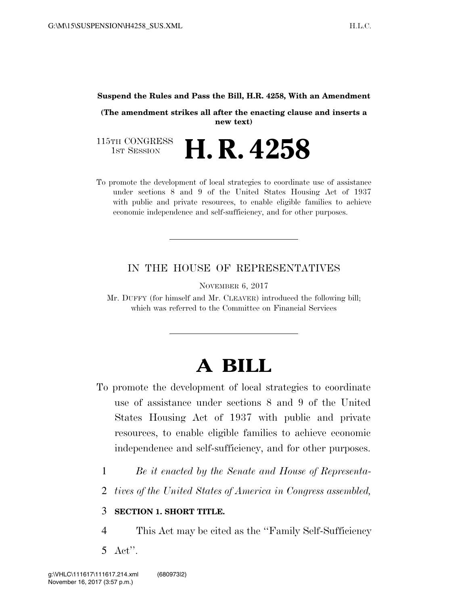## **Suspend the Rules and Pass the Bill, H.R. 4258, With an Amendment**

**(The amendment strikes all after the enacting clause and inserts a new text)** 

115TH CONGRESS<br>1st Session H. R. 4258

To promote the development of local strategies to coordinate use of assistance under sections 8 and 9 of the United States Housing Act of 1937 with public and private resources, to enable eligible families to achieve economic independence and self-sufficiency, and for other purposes.

## IN THE HOUSE OF REPRESENTATIVES

NOVEMBER 6, 2017

Mr. DUFFY (for himself and Mr. CLEAVER) introduced the following bill; which was referred to the Committee on Financial Services

## **A BILL**

- To promote the development of local strategies to coordinate use of assistance under sections 8 and 9 of the United States Housing Act of 1937 with public and private resources, to enable eligible families to achieve economic independence and self-sufficiency, and for other purposes.
	- 1 *Be it enacted by the Senate and House of Representa-*
	- 2 *tives of the United States of America in Congress assembled,*

## 3 **SECTION 1. SHORT TITLE.**

- 4 This Act may be cited as the ''Family Self-Sufficiency
- 5 Act''.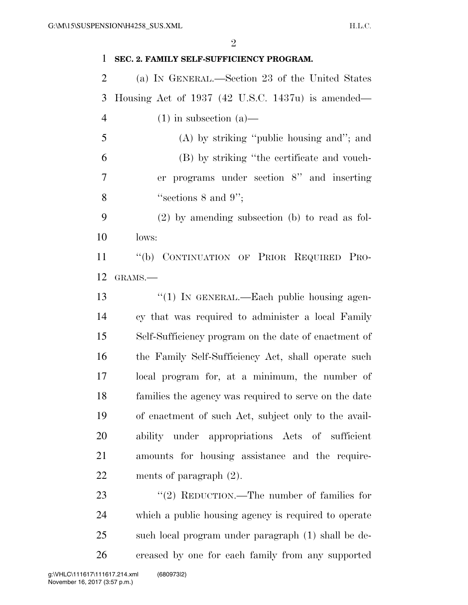| $\mathbf{1}$   | SEC. 2. FAMILY SELF-SUFFICIENCY PROGRAM.              |
|----------------|-------------------------------------------------------|
| $\overline{2}$ | (a) IN GENERAL.—Section 23 of the United States       |
| 3              | Housing Act of 1937 (42 U.S.C. 1437u) is amended—     |
| $\overline{4}$ | $(1)$ in subsection $(a)$ —                           |
| 5              | (A) by striking "public housing and"; and             |
| 6              | (B) by striking "the certificate and vouch-           |
| 7              | er programs under section $8$ " and inserting         |
| 8              | "sections $8$ and $9"$ ;                              |
| 9              | $(2)$ by amending subsection (b) to read as fol-      |
| 10             | lows:                                                 |
| 11             | "(b) CONTINUATION OF PRIOR REQUIRED PRO-              |
| 12             | GRAMS.-                                               |
| 13             | "(1) IN GENERAL.—Each public housing agen-            |
| 14             | cy that was required to administer a local Family     |
| 15             | Self-Sufficiency program on the date of enactment of  |
| 16             | the Family Self-Sufficiency Act, shall operate such   |
| 17             | local program for, at a minimum, the number of        |
| 18             | families the agency was required to serve on the date |
| 19             | of enactment of such Act, subject only to the avail-  |
| 20             | ability under appropriations Acts of sufficient       |
| 21             | amounts for housing assistance and the require-       |
| 22             | ments of paragraph $(2)$ .                            |
| 23             | "(2) REDUCTION.—The number of families for            |
| 24             | which a public housing agency is required to operate  |
| 25             | such local program under paragraph (1) shall be de-   |
| 26             | creased by one for each family from any supported     |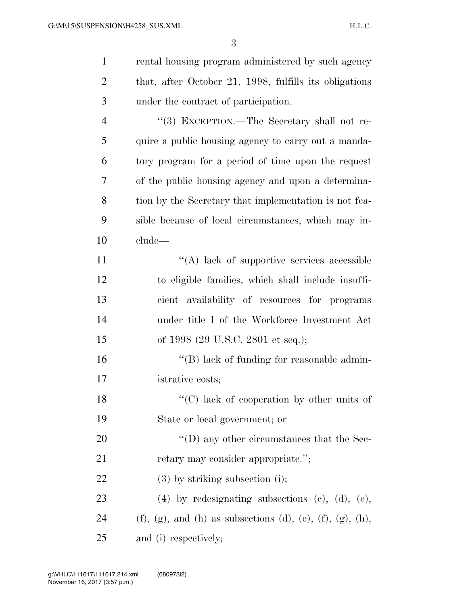| $\mathbf{1}$   | rental housing program administered by such agency           |
|----------------|--------------------------------------------------------------|
| $\overline{2}$ | that, after October 21, 1998, fulfills its obligations       |
| 3              | under the contract of participation.                         |
| $\overline{4}$ | "(3) EXCEPTION.—The Secretary shall not re-                  |
| 5              | quire a public housing agency to carry out a manda-          |
| 6              | tory program for a period of time upon the request           |
| 7              | of the public housing agency and upon a determina-           |
| 8              | tion by the Secretary that implementation is not fea-        |
| 9              | sible because of local circumstances, which may in-          |
| 10             | clude—                                                       |
| 11             | $\lq\lq$ ack of supportive services accessible               |
| 12             | to eligible families, which shall include insuffi-           |
| 13             | cient availability of resources for programs                 |
| 14             | under title I of the Workforce Investment Act                |
| 15             | of 1998 (29 U.S.C. 2801 et seq.);                            |
| 16             | $\lq\lq$ (B) lack of funding for reasonable admin-           |
| 17             | istrative costs;                                             |
| 18             | "(C) lack of cooperation by other units of                   |
| 19             | State or local government; or                                |
| 20             | $\lq\lq$ (D) any other circumstances that the Sec-           |
| 21             | retary may consider appropriate.";                           |
| 22             | $(3)$ by striking subsection $(i)$ ;                         |
| 23             | $(4)$ by redesignating subsections $(e)$ , $(d)$ , $(e)$ ,   |
| 24             | $(f)$ , (g), and (h) as subsections (d), (e), (f), (g), (h), |
| 25             | and (i) respectively;                                        |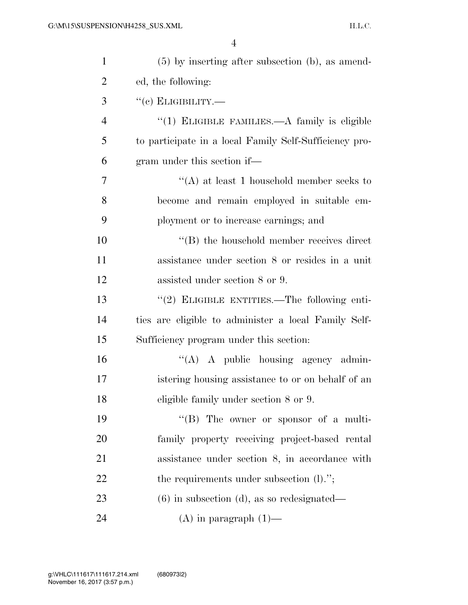| $\mathbf{1}$   | $(5)$ by inserting after subsection (b), as amend-     |
|----------------|--------------------------------------------------------|
| $\overline{2}$ | ed, the following:                                     |
| 3              | $``$ (c) ELIGIBILITY.—                                 |
| $\overline{4}$ | " $(1)$ ELIGIBLE FAMILIES.—A family is eligible        |
| 5              | to participate in a local Family Self-Sufficiency pro- |
| 6              | gram under this section if—                            |
| 7              | "(A) at least 1 household member seeks to              |
| 8              | become and remain employed in suitable em-             |
| 9              | ployment or to increase earnings; and                  |
| 10             | $\lq\lq$ the household member receives direct          |
| 11             | assistance under section 8 or resides in a unit        |
| 12             | assisted under section 8 or 9.                         |
| 13             | "(2) ELIGIBLE ENTITIES.—The following enti-            |
| 14             | ties are eligible to administer a local Family Self-   |
| 15             | Sufficiency program under this section:                |
| 16             | $\lq\lq$ A public housing agency admin-                |
| 17             | istering housing assistance to or on behalf of an      |
| 18             | eligible family under section 8 or 9.                  |
| 19             | $\lq\lq (B)$ The owner or sponsor of a multi-          |
| 20             | family property receiving project-based rental         |
| 21             | assistance under section 8, in accordance with         |
| 22             | the requirements under subsection $(l)$ .";            |
| 23             | $(6)$ in subsection $(d)$ , as so redesignated—        |
| 24             | $(A)$ in paragraph $(1)$ —                             |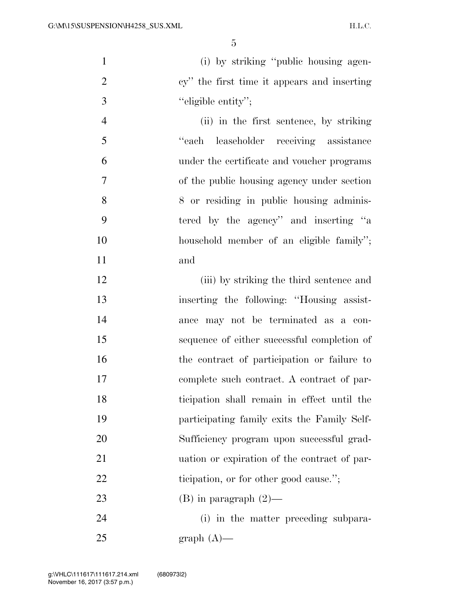(i) by striking ''public housing agen-2 cy'' the first time it appears and inserting ''eligible entity'';

 (ii) in the first sentence, by striking ''each leaseholder receiving assistance under the certificate and voucher programs of the public housing agency under section 8 or residing in public housing adminis- tered by the agency'' and inserting ''a household member of an eligible family''; and

12 (iii) by striking the third sentence and inserting the following: ''Housing assist- ance may not be terminated as a con- sequence of either successful completion of the contract of participation or failure to complete such contract. A contract of par- ticipation shall remain in effect until the participating family exits the Family Self- Sufficiency program upon successful grad- uation or expiration of the contract of par-22 ticipation, or for other good cause."; 23 (B) in paragraph  $(2)$ —

 (i) in the matter preceding subpara-graph  $(A)$ —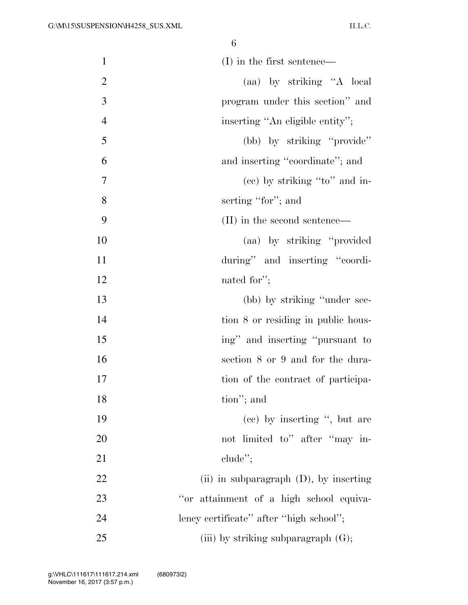| $\mathbf{1}$   | $(I)$ in the first sentence—              |
|----------------|-------------------------------------------|
| $\mathbf{2}$   | (aa) by striking "A local                 |
| 3              | program under this section" and           |
| $\overline{4}$ | inserting "An eligible entity";           |
| 5              | (bb) by striking "provide"                |
| 6              | and inserting "coordinate"; and           |
| 7              | (ce) by striking "to" and in-             |
| 8              | serting "for"; and                        |
| 9              | (II) in the second sentence—              |
| 10             | (aa) by striking "provided"               |
| 11             | during" and inserting "coordi-            |
| 12             | nated for";                               |
| 13             | (bb) by striking "under sec-              |
| 14             | tion 8 or residing in public hous-        |
| 15             | ing" and inserting "pursuant to           |
| 16             | section 8 or 9 and for the dura-          |
| 17             | tion of the contract of participa-        |
| 18             | tion"; and                                |
| 19             | (cc) by inserting ", but are              |
| 20             | not limited to" after "may in-            |
| 21             | $chude$ <sup>"</sup> ;                    |
| 22             | (ii) in subparagraph $(D)$ , by inserting |
| 23             | "or attainment of a high school equiva-   |
| 24             | lency certificate" after "high school";   |
| 25             | (iii) by striking subparagraph $(G)$ ;    |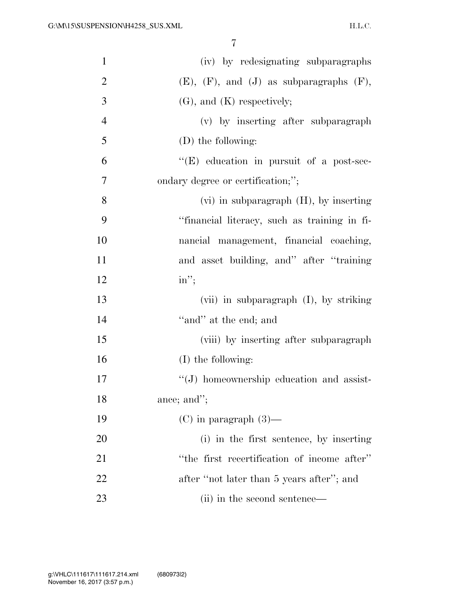| $\mathbf{1}$   | (iv) by redesignating subparagraphs                |
|----------------|----------------------------------------------------|
| $\overline{2}$ | $(E)$ , $(F)$ , and $(J)$ as subparagraphs $(F)$ , |
| 3              | $(G)$ , and $(K)$ respectively;                    |
| $\overline{4}$ | (v) by inserting after subparagraph                |
| 5              | (D) the following:                                 |
| 6              | $\lq\lq(E)$ education in pursuit of a post-sec-    |
| 7              | ondary degree or certification;";                  |
| 8              | $(vi)$ in subparagraph $(H)$ , by inserting        |
| 9              | "financial literacy, such as training in fi-       |
| 10             | nancial management, financial coaching,            |
| 11             | and asset building, and" after "training"          |
| 12             | $in$ ";                                            |
| 13             | (vii) in subparagraph (I), by striking             |
| 14             | "and" at the end; and                              |
| 15             | (viii) by inserting after subparagraph             |
| 16             | (I) the following:                                 |
| 17             | $\lq\lq(J)$ homeownership education and assist-    |
| 18             | ance; and";                                        |
| 19             | $(C)$ in paragraph $(3)$ —                         |
| 20             | (i) in the first sentence, by inserting            |
| 21             | "the first recertification of income after"        |
| 22             | after "not later than 5 years after"; and          |
| 23             | (ii) in the second sentence—                       |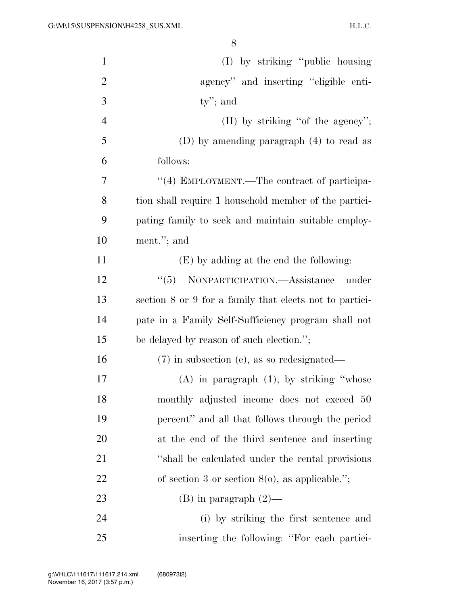| $\mathbf{1}$   | (I) by striking "public housing                         |
|----------------|---------------------------------------------------------|
| $\overline{2}$ | agency" and inserting "eligible enti-                   |
| 3              | $ty$ "; and                                             |
| $\overline{4}$ | $(II)$ by striking "of the agency";                     |
| 5              | (D) by amending paragraph (4) to read as                |
| 6              | follows:                                                |
| 7              | "(4) EMPLOYMENT.—The contract of participa-             |
| 8              | tion shall require 1 household member of the partici-   |
| 9              | pating family to seek and maintain suitable employ-     |
| 10             | ment."; and                                             |
| 11             | (E) by adding at the end the following:                 |
| 12             | "(5) NONPARTICIPATION.—Assistance under                 |
| 13             | section 8 or 9 for a family that elects not to partici- |
| 14             | pate in a Family Self-Sufficiency program shall not     |
| 15             | be delayed by reason of such election.";                |
| 16             | $(7)$ in subsection (e), as so redesignated—            |
| 17             | $(A)$ in paragraph $(1)$ , by striking "whose           |
| 18             | monthly adjusted income does not exceed 50              |
| 19             | percent" and all that follows through the period        |
| 20             | at the end of the third sentence and inserting          |
| 21             | "shall be calculated under the rental provisions"       |
| 22             | of section 3 or section $8(0)$ , as applicable.";       |
| 23             | $(B)$ in paragraph $(2)$ —                              |
| 24             | (i) by striking the first sentence and                  |
| 25             | inserting the following: "For each partici-             |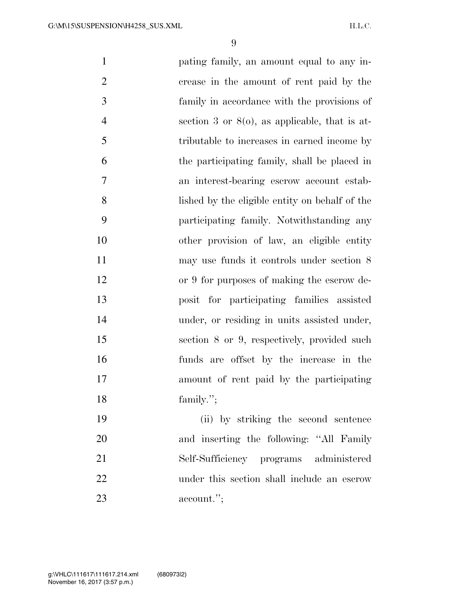pating family, an amount equal to any in- crease in the amount of rent paid by the family in accordance with the provisions of section 3 or 8(o), as applicable, that is at- tributable to increases in earned income by the participating family, shall be placed in an interest-bearing escrow account estab- lished by the eligible entity on behalf of the participating family. Notwithstanding any other provision of law, an eligible entity may use funds it controls under section 8 or 9 for purposes of making the escrow de- posit for participating families assisted 14 under, or residing in units assisted under, section 8 or 9, respectively, provided such funds are offset by the increase in the amount of rent paid by the participating 18 family."; (ii) by striking the second sentence 20 and inserting the following: "All Family Self-Sufficiency programs administered under this section shall include an escrow account.'';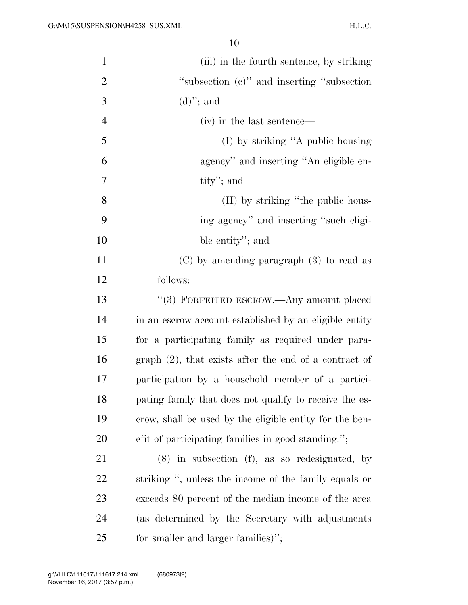| $\mathbf{1}$   | (iii) in the fourth sentence, by striking               |
|----------------|---------------------------------------------------------|
| $\overline{2}$ | "subsection (c)" and inserting "subsection"             |
| 3              | $(d)$ "; and                                            |
| $\overline{4}$ | (iv) in the last sentence—                              |
| 5              | (I) by striking "A public housing                       |
| 6              | agency" and inserting "An eligible en-                  |
| 7              | tity'; and                                              |
| 8              | (II) by striking "the public hous-                      |
| 9              | ing agency" and inserting "such eligi-                  |
| 10             | ble entity"; and                                        |
| 11             | $(C)$ by amending paragraph $(3)$ to read as            |
| 12             | follows:                                                |
| 13             | "(3) FORFEITED ESCROW.—Any amount placed                |
| 14             | in an escrow account established by an eligible entity  |
| 15             | for a participating family as required under para-      |
| 16             | $graph(2)$ , that exists after the end of a contract of |
| 17             | participation by a household member of a partici-       |
| 18             | pating family that does not qualify to receive the es-  |
| 19             | crow, shall be used by the eligible entity for the ben- |
| 20             | efit of participating families in good standing.";      |
| 21             | $(8)$ in subsection $(f)$ , as so redesignated, by      |
| 22             | striking ", unless the income of the family equals or   |
| 23             | exceeds 80 percent of the median income of the area     |
| 24             | (as determined by the Secretary with adjustments)       |
| 25             | for smaller and larger families)";                      |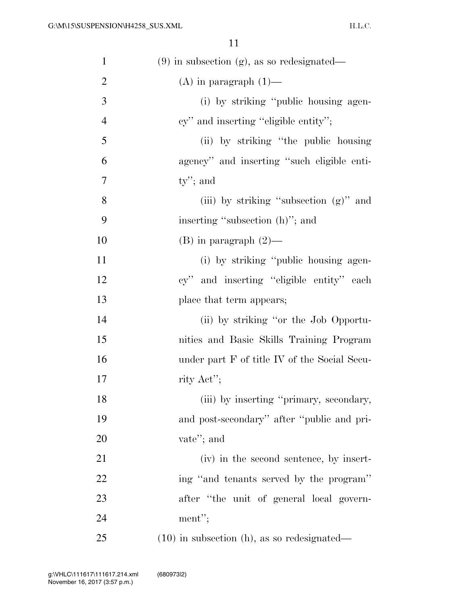H.L.C.

| $\mathbf{1}$   | $(9)$ in subsection $(g)$ , as so redesignated— |
|----------------|-------------------------------------------------|
| $\overline{2}$ | $(A)$ in paragraph $(1)$ —                      |
| 3              | (i) by striking "public housing agen-           |
| $\overline{4}$ | cy" and inserting "eligible entity";            |
| 5              | (ii) by striking "the public housing            |
| 6              | agency" and inserting "such eligible enti-      |
| 7              | $ty$ "; and                                     |
| $8\,$          | (iii) by striking "subsection (g)" and          |
| 9              | inserting "subsection (h)"; and                 |
| 10             | $(B)$ in paragraph $(2)$ —                      |
| 11             | (i) by striking "public housing agen-           |
| 12             | cy" and inserting "eligible entity" each        |
| 13             | place that term appears;                        |
| 14             | (ii) by striking "or the Job Opportu-           |
| 15             | nities and Basic Skills Training Program        |
| 16             | under part F of title IV of the Social Secu-    |
| 17             | rity Act";                                      |
| 18             | (iii) by inserting "primary, secondary,         |
| 19             | and post-secondary" after "public and pri-      |
| 20             | vate"; and                                      |
| 21             | (iv) in the second sentence, by insert-         |
| 22             | ing "and tenants served by the program"         |
| 23             | after "the unit of general local govern-        |
| 24             | $ment$ ";                                       |
| 25             | $(10)$ in subsection (h), as so redesignated—   |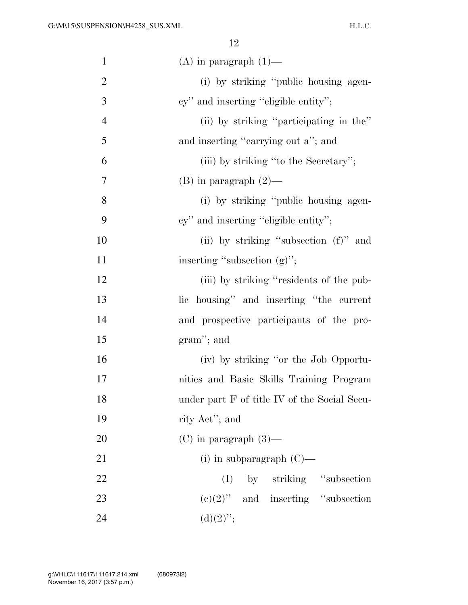| $\mathbf{1}$   | $(A)$ in paragraph $(1)$ —                   |
|----------------|----------------------------------------------|
| $\overline{2}$ | (i) by striking "public housing agen-        |
| 3              | cy" and inserting "eligible entity";         |
| $\overline{4}$ | (ii) by striking "participating in the"      |
| 5              | and inserting "carrying out a"; and          |
| 6              | (iii) by striking "to the Secretary";        |
| 7              | $(B)$ in paragraph $(2)$ —                   |
| 8              | (i) by striking "public housing agen-        |
| 9              | cy" and inserting "eligible entity";         |
| 10             | (ii) by striking "subsection (f)" and        |
| 11             | inserting "subsection $(g)$ ";               |
| 12             | (iii) by striking "residents of the pub-     |
| 13             | lic housing" and inserting "the current      |
| 14             | and prospective participants of the pro-     |
| 15             | $gram$ ; and                                 |
| 16             | (iv) by striking "or the Job Opportu-        |
| 17             | nities and Basic Skills Training Program     |
| 18             | under part F of title IV of the Social Secu- |
| 19             | rity Act"; and                               |
| 20             | $(C)$ in paragraph $(3)$ —                   |
| 21             | $(i)$ in subparagraph $(C)$ —                |
| 22             | (I) by striking "subsection                  |
| 23             | $(e)(2)$ " and inserting "subsection"        |
| 24             | $(d)(2)$ ";                                  |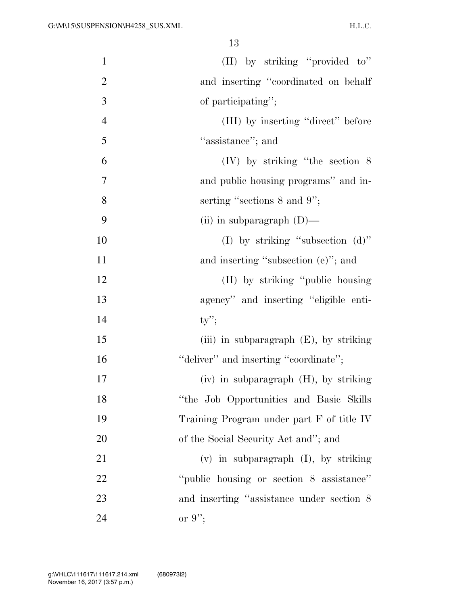| $\mathbf{1}$   | (II) by striking "provided to"            |
|----------------|-------------------------------------------|
| $\overline{2}$ | and inserting "coordinated on behalf"     |
| 3              | of participating";                        |
| $\overline{4}$ | (III) by inserting "direct" before        |
| 5              | "assistance"; and                         |
| 6              | $(IV)$ by striking "the section 8         |
| $\overline{7}$ | and public housing programs" and in-      |
| 8              | serting "sections 8 and 9";               |
| 9              | (ii) in subparagraph $(D)$ —              |
| 10             | (I) by striking "subsection $(d)$ "       |
| 11             | and inserting "subsection (e)"; and       |
| 12             | (II) by striking "public housing"         |
| 13             | agency" and inserting "eligible enti-     |
| 14             | $ty$ ";                                   |
| 15             | (iii) in subparagraph $(E)$ , by striking |
| 16             | "deliver" and inserting "coordinate";     |
| 17             | (iv) in subparagraph (H), by striking     |
| 18             | "the Job Opportunities and Basic Skills"  |
| 19             | Training Program under part F of title IV |
| 20             | of the Social Security Act and"; and      |
| 21             | $(v)$ in subparagraph $(I)$ , by striking |
| 22             | "public housing or section 8 assistance"  |
| 23             | and inserting "assistance under section 8 |
| 24             | or $9$ ";                                 |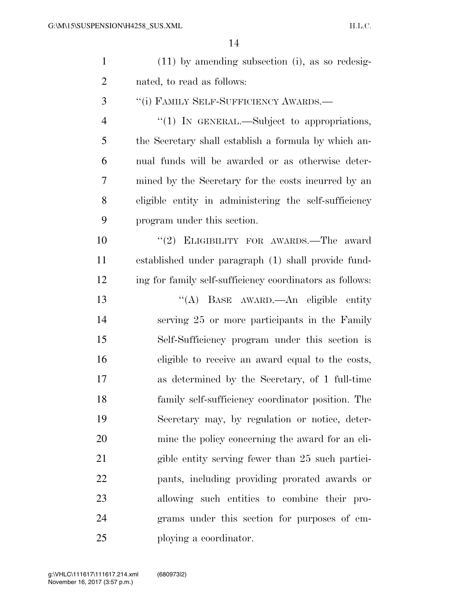| $\mathbf{1}$   | $(11)$ by amending subsection (i), as so redesig-        |
|----------------|----------------------------------------------------------|
| $\overline{2}$ | nated, to read as follows:                               |
| 3              | "(i) FAMILY SELF-SUFFICIENCY AWARDS.—                    |
| $\overline{4}$ | " $(1)$ In GENERAL.—Subject to appropriations,           |
| 5              | the Secretary shall establish a formula by which an-     |
| 6              | nual funds will be awarded or as otherwise deter-        |
| 7              | mined by the Secretary for the costs incurred by an      |
| 8              | eligible entity in administering the self-sufficiency    |
| 9              | program under this section.                              |
| 10             | "(2) ELIGIBILITY FOR AWARDS.—The award                   |
| 11             | established under paragraph (1) shall provide fund-      |
| 12             | ing for family self-sufficiency coordinators as follows: |
| 13             | "(A) BASE AWARD.—An eligible entity                      |
| 14             | serving 25 or more participants in the Family            |
| 15             | Self-Sufficiency program under this section is           |
| 16             | eligible to receive an award equal to the costs,         |
| $17\,$         | as determined by the Secretary, of 1 full-time           |
| 18             | family self-sufficiency coordinator position. The        |
| 19             | Secretary may, by regulation or notice, deter-           |
| 20             | mine the policy concerning the award for an eli-         |
| 21             | gible entity serving fewer than 25 such partici-         |
| 22             | pants, including providing prorated awards or            |
| 23             | allowing such entities to combine their pro-             |
| 24             | grams under this section for purposes of em-             |
| 25             | ploying a coordinator.                                   |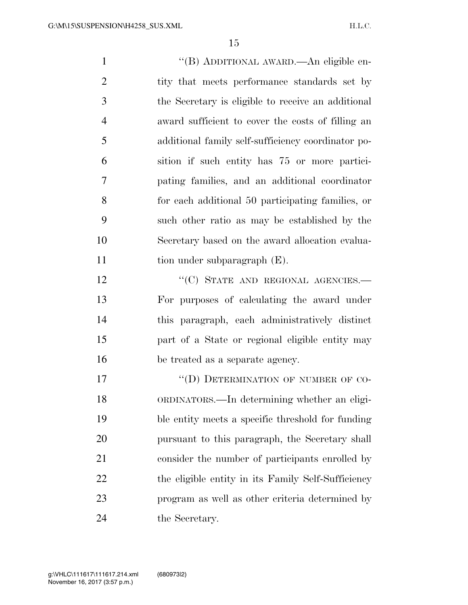''(B) ADDITIONAL AWARD.—An eligible en-2 tity that meets performance standards set by the Secretary is eligible to receive an additional award sufficient to cover the costs of filling an additional family self-sufficiency coordinator po- sition if such entity has 75 or more partici- pating families, and an additional coordinator for each additional 50 participating families, or such other ratio as may be established by the Secretary based on the award allocation evalua-11 tion under subparagraph (E). 12 "(C) STATE AND REGIONAL AGENCIES.— For purposes of calculating the award under this paragraph, each administratively distinct part of a State or regional eligible entity may be treated as a separate agency.

17 "(D) DETERMINATION OF NUMBER OF CO- ORDINATORS.—In determining whether an eligi- ble entity meets a specific threshold for funding pursuant to this paragraph, the Secretary shall consider the number of participants enrolled by 22 the eligible entity in its Family Self-Sufficiency program as well as other criteria determined by 24 the Secretary.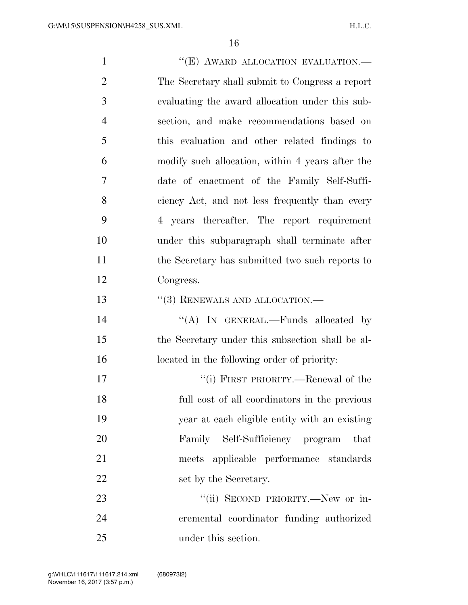1 ""(E) AWARD ALLOCATION EVALUATION. The Secretary shall submit to Congress a report evaluating the award allocation under this sub- section, and make recommendations based on this evaluation and other related findings to modify such allocation, within 4 years after the date of enactment of the Family Self-Suffi- ciency Act, and not less frequently than every 4 years thereafter. The report requirement under this subparagraph shall terminate after the Secretary has submitted two such reports to Congress. 13 "(3) RENEWALS AND ALLOCATION.— 14 "(A) In GENERAL.—Funds allocated by the Secretary under this subsection shall be al- located in the following order of priority: 17 ''(i) FIRST PRIORITY.—Renewal of the full cost of all coordinators in the previous year at each eligible entity with an existing Family Self-Sufficiency program that meets applicable performance standards 22 set by the Secretary. 23 "(ii) SECOND PRIORITY.—New or in-cremental coordinator funding authorized

under this section.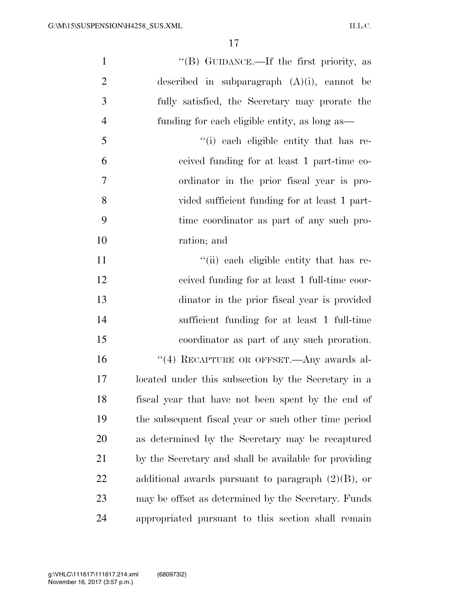| $\mathbf{1}$   | "(B) GUIDANCE.—If the first priority, as              |
|----------------|-------------------------------------------------------|
| $\overline{2}$ | described in subparagraph $(A)(i)$ , cannot be        |
| 3              | fully satisfied, the Secretary may prorate the        |
| $\overline{4}$ | funding for each eligible entity, as long as—         |
| 5              | "(i) each eligible entity that has re-                |
| 6              | ceived funding for at least 1 part-time co-           |
| 7              | ordinator in the prior fiscal year is pro-            |
| 8              | vided sufficient funding for at least 1 part-         |
| 9              | time coordinator as part of any such pro-             |
| 10             | ration; and                                           |
| 11             | "(ii) each eligible entity that has re-               |
| 12             | ceived funding for at least 1 full-time coor-         |
| 13             | dinator in the prior fiscal year is provided          |
| 14             | sufficient funding for at least 1 full-time           |
| 15             | coordinator as part of any such proration.            |
| 16             | "(4) RECAPTURE OR OFFSET.—Any awards al-              |
| 17             | located under this subsection by the Secretary in a   |
| 18             | fiscal year that have not been spent by the end of    |
| 19             | the subsequent fiscal year or such other time period  |
| 20             | as determined by the Secretary may be recaptured      |
| 21             | by the Secretary and shall be available for providing |
| 22             | additional awards pursuant to paragraph $(2)(B)$ , or |
| 23             | may be offset as determined by the Secretary. Funds   |
| 24             | appropriated pursuant to this section shall remain    |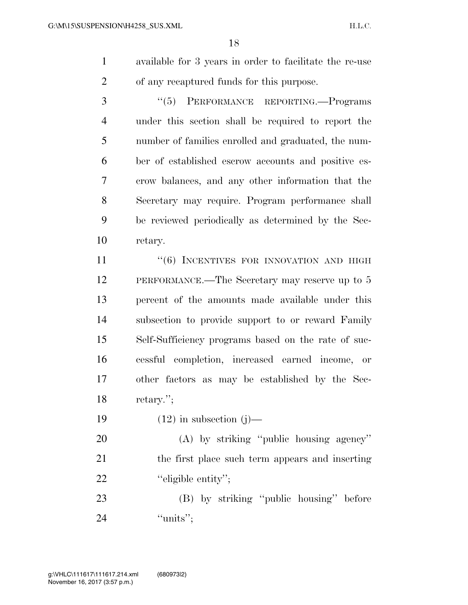- available for 3 years in order to facilitate the re-use of any recaptured funds for this purpose.
- ''(5) PERFORMANCE REPORTING.—Programs under this section shall be required to report the number of families enrolled and graduated, the num- ber of established escrow accounts and positive es- crow balances, and any other information that the Secretary may require. Program performance shall be reviewed periodically as determined by the Sec-retary.

11 ''(6) INCENTIVES FOR INNOVATION AND HIGH PERFORMANCE.—The Secretary may reserve up to 5 percent of the amounts made available under this subsection to provide support to or reward Family Self-Sufficiency programs based on the rate of suc- cessful completion, increased earned income, or other factors as may be established by the Sec-retary.'';

19  $(12)$  in subsection  $(j)$ —

 (A) by striking ''public housing agency'' the first place such term appears and inserting 22 "eligible entity";

23 (B) by striking "public housing" before 24 ''units'';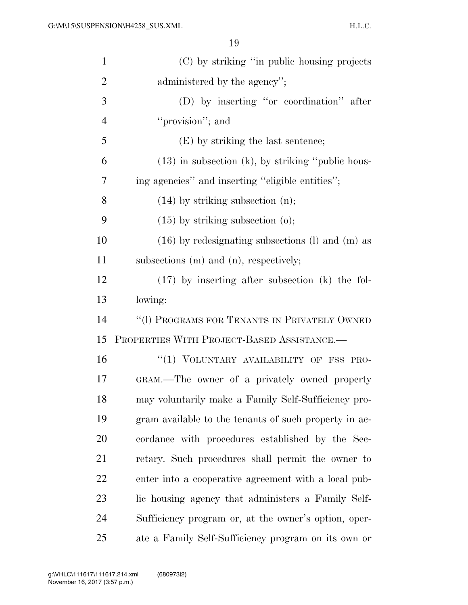| $\mathbf{1}$   | (C) by striking "in public housing projects           |
|----------------|-------------------------------------------------------|
| $\overline{2}$ | administered by the agency";                          |
| 3              | (D) by inserting "or coordination" after              |
| $\overline{4}$ | "provision"; and                                      |
| 5              | (E) by striking the last sentence;                    |
| 6              | $(13)$ in subsection (k), by striking "public hous-   |
| 7              | ing agencies" and inserting "eligible entities";      |
| 8              | $(14)$ by striking subsection $(n)$ ;                 |
| 9              | $(15)$ by striking subsection $(0)$ ;                 |
| 10             | $(16)$ by redesignating subsections (1) and (m) as    |
| 11             | subsections $(m)$ and $(n)$ , respectively;           |
| 12             | $(17)$ by inserting after subsection (k) the fol-     |
| 13             | lowing:                                               |
| 14             | "(1) PROGRAMS FOR TENANTS IN PRIVATELY OWNED          |
| 15             | PROPERTIES WITH PROJECT-BASED ASSISTANCE.             |
| 16             | "(1) VOLUNTARY AVAILABILITY OF FSS PRO-               |
| 17             | GRAM.—The owner of a privately owned property         |
| 18             | may voluntarily make a Family Self-Sufficiency pro-   |
| 19             | gram available to the tenants of such property in ac- |
| 20             | cordance with procedures established by the Sec-      |
| 21             | retary. Such procedures shall permit the owner to     |
| 22             | enter into a cooperative agreement with a local pub-  |
| 23             | lic housing agency that administers a Family Self-    |
| 24             | Sufficiency program or, at the owner's option, oper-  |
| 25             | ate a Family Self-Sufficiency program on its own or   |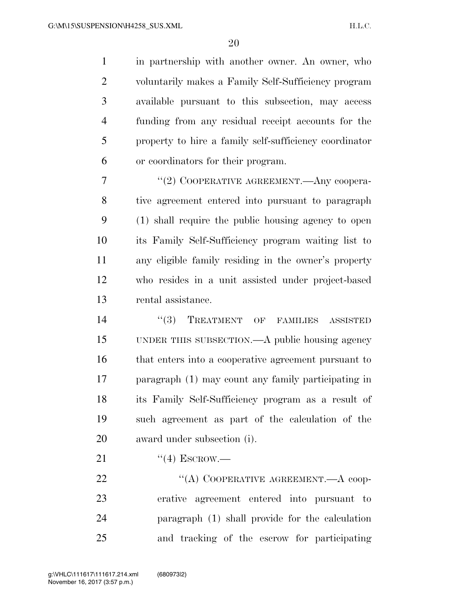in partnership with another owner. An owner, who voluntarily makes a Family Self-Sufficiency program available pursuant to this subsection, may access funding from any residual receipt accounts for the property to hire a family self-sufficiency coordinator or coordinators for their program.

7 "(2) COOPERATIVE AGREEMENT.—Any coopera- tive agreement entered into pursuant to paragraph (1) shall require the public housing agency to open its Family Self-Sufficiency program waiting list to any eligible family residing in the owner's property who resides in a unit assisted under project-based rental assistance.

 $(3)$  TREATMENT OF FAMILIES ASSISTED UNDER THIS SUBSECTION.—A public housing agency that enters into a cooperative agreement pursuant to paragraph (1) may count any family participating in its Family Self-Sufficiency program as a result of such agreement as part of the calculation of the award under subsection (i).

21  $((4)$  ESCROW.—

22 "(A) COOPERATIVE AGREEMENT.—A coop- erative agreement entered into pursuant to paragraph (1) shall provide for the calculation and tracking of the escrow for participating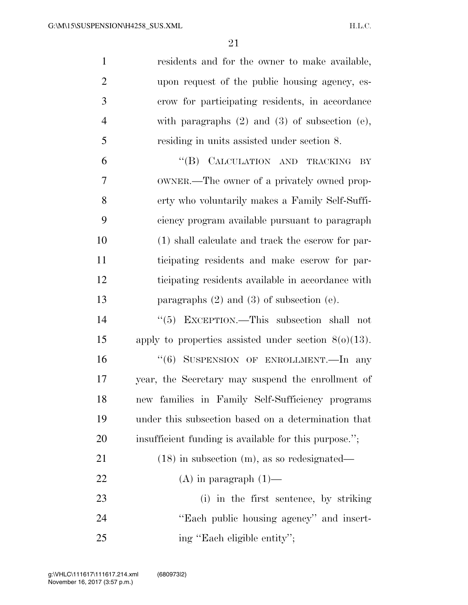| $\mathbf{1}$   | residents and for the owner to make available,          |
|----------------|---------------------------------------------------------|
| $\overline{2}$ | upon request of the public housing agency, es-          |
| 3              | crow for participating residents, in accordance         |
| $\overline{4}$ | with paragraphs $(2)$ and $(3)$ of subsection $(e)$ ,   |
| 5              | residing in units assisted under section 8.             |
| 6              | "(B) CALCULATION AND TRACKING<br>BY                     |
| 7              | OWNER.—The owner of a privately owned prop-             |
| 8              | erty who voluntarily makes a Family Self-Suffi-         |
| 9              | ciency program available pursuant to paragraph          |
| 10             | (1) shall calculate and track the escrow for par-       |
| 11             | ticipating residents and make escrow for par-           |
| 12             | ticipating residents available in accordance with       |
| 13             | paragraphs $(2)$ and $(3)$ of subsection $(e)$ .        |
| 14             | " $(5)$ EXCEPTION.—This subsection shall not            |
| 15             | apply to properties assisted under section $8(0)(13)$ . |
| 16             | "(6) SUSPENSION OF ENROLLMENT.—In any                   |
| 17             | year, the Secretary may suspend the enrollment of       |
| 18             | new families in Family Self-Sufficiency programs        |
| 19             | under this subsection based on a determination that     |
| 20             | insufficient funding is available for this purpose.";   |
| 21             | $(18)$ in subsection (m), as so redesignated—           |
| 22             | $(A)$ in paragraph $(1)$ —                              |
| 23             | (i) in the first sentence, by striking                  |
| 24             | "Each public housing agency" and insert-                |
| 25             | ing "Each eligible entity";                             |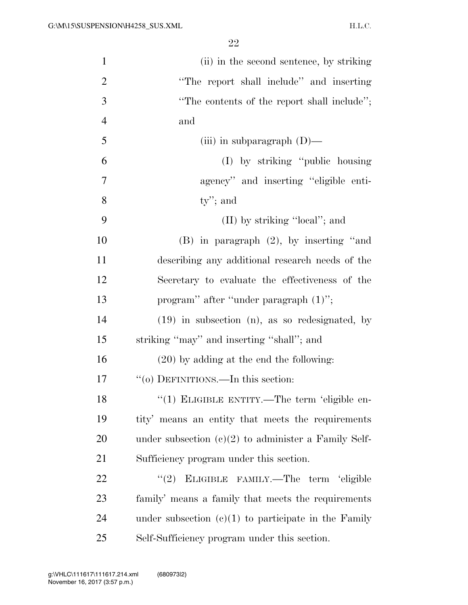| $\mathbf{1}$   | (ii) in the second sentence, by striking               |
|----------------|--------------------------------------------------------|
| $\overline{2}$ | "The report shall include" and inserting               |
| 3              | "The contents of the report shall include";            |
| $\overline{4}$ | and                                                    |
| 5              | (iii) in subparagraph $(D)$ —                          |
| 6              | (I) by striking "public housing"                       |
| 7              | agency" and inserting "eligible enti-                  |
| 8              | $ty$ "; and                                            |
| 9              | (II) by striking "local"; and                          |
| 10             | $(B)$ in paragraph $(2)$ , by inserting "and           |
| 11             | describing any additional research needs of the        |
| 12             | Secretary to evaluate the effectiveness of the         |
| 13             | program" after "under paragraph (1)";                  |
| 14             | $(19)$ in subsection $(n)$ , as so redesignated, by    |
| 15             | striking "may" and inserting "shall"; and              |
| 16             | $(20)$ by adding at the end the following:             |
| 17             | "(o) DEFINITIONS.—In this section:                     |
| 18             | "(1) ELIGIBLE ENTITY.—The term 'eligible en-           |
| 19             | tity' means an entity that meets the requirements      |
| 20             | under subsection $(c)(2)$ to administer a Family Self- |
| 21             | Sufficiency program under this section.                |
| 22             | "(2) ELIGIBLE FAMILY.—The term 'eligible               |
| 23             | family' means a family that meets the requirements     |
| 24             | under subsection $(c)(1)$ to participate in the Family |
| 25             | Self-Sufficiency program under this section.           |